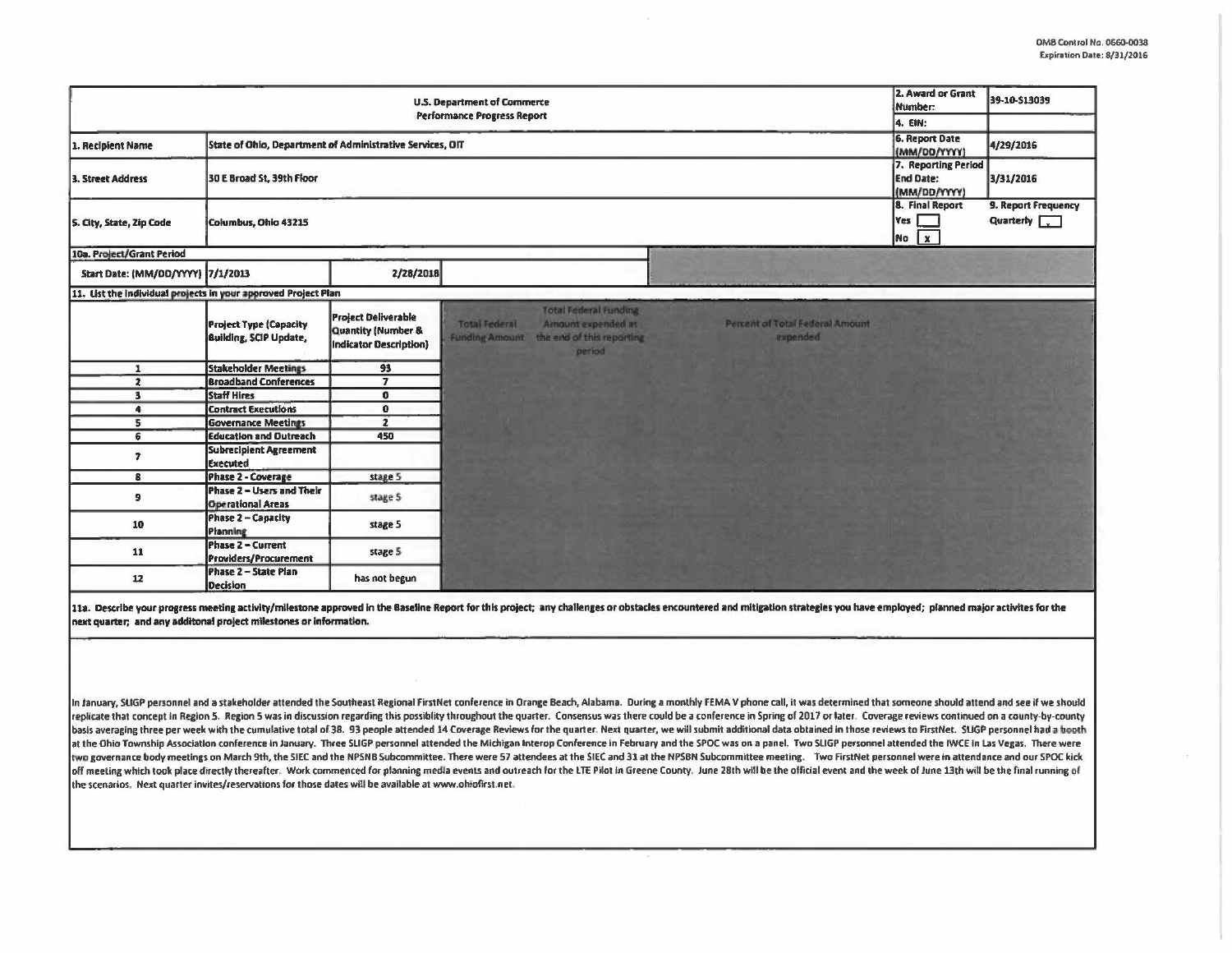| <b>U.S. Department of Commerce</b><br><b>Performance Progress Report</b>       |                                                                |                                                                                       |                      |                                                                                                          |                                             |                                       | 39-10-S13039                              |
|--------------------------------------------------------------------------------|----------------------------------------------------------------|---------------------------------------------------------------------------------------|----------------------|----------------------------------------------------------------------------------------------------------|---------------------------------------------|---------------------------------------|-------------------------------------------|
| State of Ohio, Department of Administrative Services, OIT<br>1. Recipient Name |                                                                |                                                                                       |                      |                                                                                                          |                                             | <b>6. Report Date</b><br>(MM/DO/YYYY) | 4/29/2016                                 |
| 3. Street Address                                                              | 30 E Broad St, 39th Floor                                      | 7. Reporting Period<br><b>End Date:</b><br>(MM/DD/YYYY)                               | 3/31/2016            |                                                                                                          |                                             |                                       |                                           |
| S. City, State, Zip Code                                                       | Columbus, Ohio 43215                                           |                                                                                       |                      |                                                                                                          |                                             | 8. Final Report<br>Yes<br>No X        | 9. Report Frequency<br>Quarterly <b>[</b> |
| 10a. Project/Grant Period                                                      |                                                                |                                                                                       |                      |                                                                                                          |                                             |                                       |                                           |
| Start Date: (MM/DD/YYYY) 7/1/2013                                              |                                                                | 2/28/2018                                                                             |                      |                                                                                                          |                                             |                                       |                                           |
| 11. List the individual projects in your approved Project Plan                 |                                                                |                                                                                       |                      |                                                                                                          |                                             |                                       |                                           |
|                                                                                | <b>Project Type (Capacity</b><br><b>Building, SCIP Update,</b> | <b>Project Deliverable</b><br><b>Quantity (Number &amp;</b><br>Indicator Description) | <b>Total Federal</b> | <b>Total Federal Funding</b><br>Amount expended at<br>Funding Amount the end of this reporting<br>period | Percent of Total Federal Amount<br>expended |                                       |                                           |
| $\mathbf{1}$                                                                   | <b>Stakeholder Meetings</b>                                    | 93                                                                                    |                      |                                                                                                          |                                             |                                       |                                           |
| $\overline{2}$                                                                 | <b>Broadband Conferences</b>                                   | $\overline{\mathbf{z}}$                                                               |                      |                                                                                                          |                                             |                                       |                                           |
| 3                                                                              | <b>Staff Hires</b>                                             | $\mathbf{0}$                                                                          |                      |                                                                                                          |                                             |                                       |                                           |
| $\blacktriangleleft$                                                           | <b>Contract Executions</b>                                     | $\bf{0}$                                                                              |                      |                                                                                                          |                                             |                                       |                                           |
| 5                                                                              | <b>Governance Meetings</b>                                     | $\overline{2}$                                                                        |                      |                                                                                                          |                                             |                                       |                                           |
| 6                                                                              | <b>Education and Outreach</b>                                  | 450                                                                                   |                      |                                                                                                          |                                             |                                       |                                           |
| $\overline{ }$                                                                 | <b>Subrecipient Agreement</b><br><b>Executed</b>               |                                                                                       |                      |                                                                                                          |                                             |                                       |                                           |
| 8                                                                              | Phase 2 - Coverage                                             | stage 5                                                                               |                      |                                                                                                          |                                             |                                       |                                           |
| 9                                                                              | Phase 2 - Users and Their<br><b>Operational Areas</b>          | stage 5                                                                               |                      |                                                                                                          |                                             |                                       |                                           |
| 10                                                                             | Phase 2 - Capacity<br>Planning                                 | stage 5                                                                               |                      |                                                                                                          |                                             |                                       |                                           |
| 11                                                                             | <b>Phase 2 - Current</b><br><b>Providers/Procurement</b>       | stage 5                                                                               |                      |                                                                                                          |                                             |                                       |                                           |
| 12                                                                             | Phase 2 - State Plan<br>Decision                               | has not begun                                                                         |                      |                                                                                                          |                                             |                                       |                                           |

11a. Describe your progress meeting activity/milestone approved in the Baseline Report for this project; any challenges or obstacles encountered and mitigation strategies you have employed; planned major activites for the next quarter; and any additonal project milestones or information.

In January, SUGP personnel and a stakeholder attended the Southeast Regional FirstNet conference in Orange Beach, Alabama. During a monthly FEMA V phone call, it was determined that someone should attend and see if we shou replicate that concept in Region 5. Region 5 was in discussion regarding this possiblity throughout the quarter. Consensus was there could be a conference in Spring of 2017 or later. Coverage reviews continued on a countybasis averaging three per week with the cumulative total of 38. 93 people attended 14 Coverage Reviews for the quarter, Next quarter, we will submit additional data obtained in those reviews to FirstNet. SUGP personnel had at the Ohio Township Association conference in January. Three SUGP personnel attended the Michigan Interop Conference in February and the SPOC was on a panel. Two SUGP personnel attended the IWCE in Las Vegas. There were two governance body meetings on March 9th, the SIEC and the NPSNB Subcommittee. There were 57 attendees at the SIEC and 31 at the NPSBN Subcommittee meeting. Two FirstNet personnel were in attendance and our SPOC kick off meeting which took place directly thereafter. Work commenced for planning media events and outreach for the LTE Pilot in Greene County. June 28th will be the official event and the week of June 13th will be the final r the scenarios. Next quarter invites/reservations for those dates will be available at www.ohiofirst.net.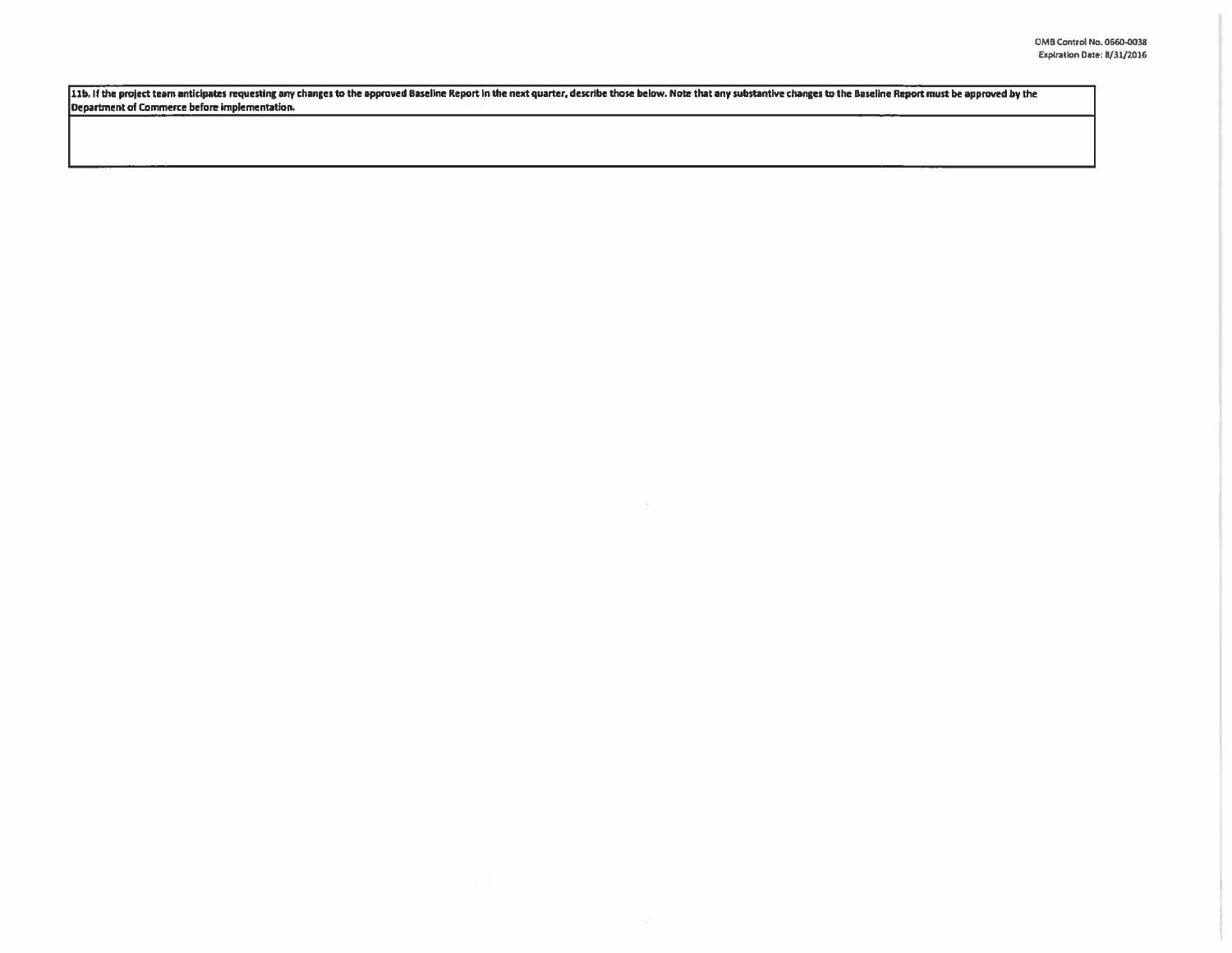11b. If the project team anticipates requesting any changes to the approved Baseline Report in the next quarter, describe those below. Note that any substantive changes to the Baseline Report must be approved by the Depart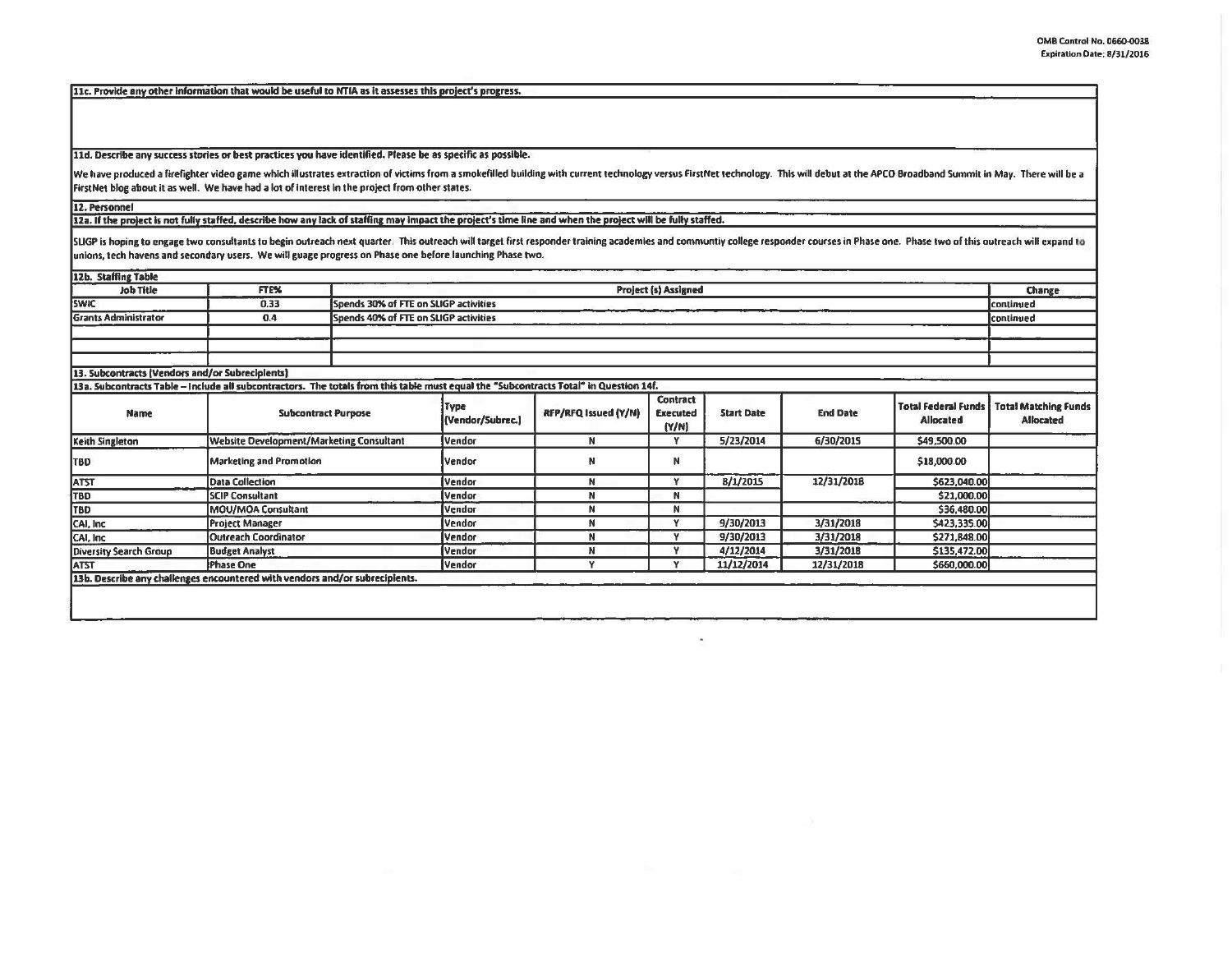llc. Provide any other Information that would be userul to NTIA as It assesses this project's progress.

lld. Describe any success stories or best practices you have Identified. Please be as specific as possible.

We have produced a firefighter video game which illustrates extraction of victims from a smokefilled building with current technology versus FirstNet technology. This will debut at the APCO Broadband Summit in May. There w FirstNet blog about it as well. We have had a lot of interest in the project from other states.

12. Personnel

12a. If the project is not fully staffed, describe how any lack of staffing may impact the project's time line and when the project will be fully staffed.

SLIGP is hoping to engage two consultants to begin outreach next quarter. This outreach will target first responder training academies and communtiv college responder courses in Phase one. Phase two of this outreach will e unions, tech havens and secondary users. We will guage progress on Phase one before launching Phase two.

| 12b. Staffing Table                             |                                                                                                                                       |                                          |                                       |                             |                               |                   |                 |                                                | Change                                          |
|-------------------------------------------------|---------------------------------------------------------------------------------------------------------------------------------------|------------------------------------------|---------------------------------------|-----------------------------|-------------------------------|-------------------|-----------------|------------------------------------------------|-------------------------------------------------|
| <b>Job Title</b>                                | <b>FTE%</b>                                                                                                                           |                                          | <b>Project (s) Assigned</b>           |                             |                               |                   |                 |                                                |                                                 |
| <b>SWIC</b>                                     | 0.33                                                                                                                                  |                                          | Spends 30% of FTE on SLIGP activities |                             |                               |                   |                 |                                                |                                                 |
| <b>Grants Administrator</b>                     | 0.4                                                                                                                                   | Spends 40% of FTE on SLIGP activities    |                                       |                             |                               |                   |                 |                                                | continued                                       |
|                                                 |                                                                                                                                       |                                          |                                       |                             |                               |                   |                 |                                                |                                                 |
|                                                 |                                                                                                                                       |                                          |                                       |                             |                               |                   |                 |                                                |                                                 |
|                                                 |                                                                                                                                       |                                          |                                       |                             |                               |                   |                 |                                                |                                                 |
| 13. Subcontracts (Vendors and/or Subrecipients) |                                                                                                                                       |                                          |                                       |                             |                               |                   |                 |                                                |                                                 |
|                                                 | 13a. Subcontracts Table - Include all subcontractors. The totals from this table must equal the "Subcontracts Total" in Question 14f. |                                          |                                       |                             |                               |                   |                 |                                                |                                                 |
| Name                                            | <b>Subcontract Purpose</b>                                                                                                            |                                          | Type<br>(Vendor/Subrec.)              | <b>RFP/RFQ Issued (Y/N)</b> | Contract<br>Executed<br>[Y/N] | <b>Start Date</b> | <b>End Date</b> | <b>Total Federal Funds</b><br><b>Allocated</b> | <b>Total Matching Funds</b><br><b>Allocated</b> |
| Keith Singleton                                 |                                                                                                                                       | Website Development/Marketing Consultant |                                       | N                           | Y                             | 5/23/2014         | 6/30/2015       | \$49,500.00                                    |                                                 |
| <b>TBD</b>                                      |                                                                                                                                       | <b>Marketing and Promotion</b>           |                                       | N                           | N                             |                   |                 | \$18,000.00                                    |                                                 |
| <b>ATST</b>                                     | <b>Data Collection</b>                                                                                                                |                                          |                                       | N                           | Y                             | <b>B/1/2015</b>   | 12/31/2018      | \$623,040.00                                   |                                                 |
| <b>TBD</b>                                      | <b>SCIP Consultant</b>                                                                                                                |                                          |                                       | N                           | N                             |                   |                 | \$21,000.00                                    |                                                 |
| TBD                                             | MOU/MOA Consultant                                                                                                                    |                                          |                                       | N                           | N                             |                   |                 | \$36,480.00                                    |                                                 |
| CAI, Inc.                                       | <b>Project Manager</b>                                                                                                                |                                          |                                       | N                           | Y                             | 9/30/2013         | 3/31/2018       | \$423,335.00                                   |                                                 |
| CAI, Inc.                                       | <b>Outreach Coordinator</b>                                                                                                           |                                          |                                       | N                           | v                             | 9/30/2013         | 3/31/2018       | \$271,848.00                                   |                                                 |
| Diversity Search Group                          | <b>Budget Analyst</b>                                                                                                                 |                                          | Vendor                                | N                           | Y                             | 4/12/2014         | 3/31/2018       | \$135,472.00                                   |                                                 |
| <b>ATST</b>                                     | Phase One                                                                                                                             |                                          | Vendor                                |                             | v                             | 11/12/2014        | 12/31/2018      | \$660,000.00                                   |                                                 |
|                                                 | 13b. Describe any challenges encountered with vendors and/or subrecipients.                                                           |                                          |                                       |                             |                               |                   |                 |                                                |                                                 |
|                                                 |                                                                                                                                       |                                          |                                       |                             |                               |                   |                 |                                                |                                                 |
|                                                 |                                                                                                                                       |                                          |                                       |                             |                               |                   |                 |                                                |                                                 |